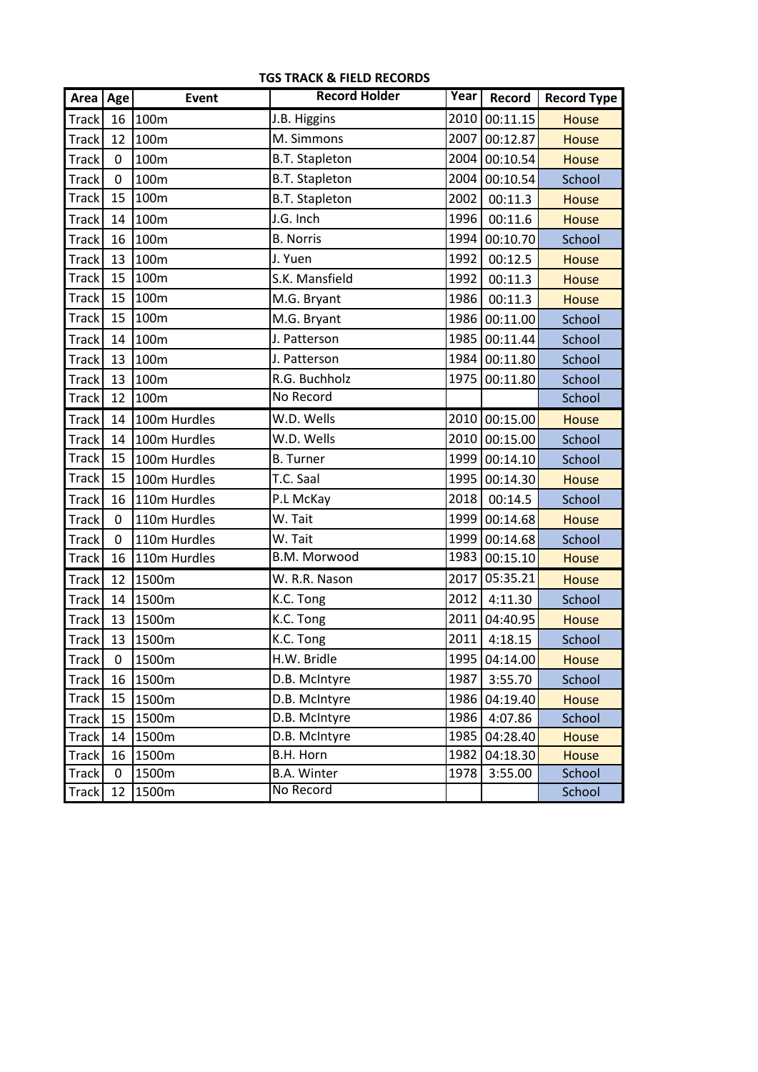| Area   Age   |                | Event        | <b>Record Holder</b>  | Year | Record        | <b>Record Type</b> |
|--------------|----------------|--------------|-----------------------|------|---------------|--------------------|
| <b>Track</b> | 16             | 100m         | J.B. Higgins          | 2010 | 00:11.15      | <b>House</b>       |
| <b>Track</b> | 12             | 100m         | M. Simmons            | 2007 | 00:12.87      | <b>House</b>       |
| <b>Track</b> | 0              | 100m         | <b>B.T. Stapleton</b> | 2004 | 00:10.54      | <b>House</b>       |
| <b>Track</b> | 0              | 100m         | <b>B.T. Stapleton</b> | 2004 | 00:10.54      | School             |
| Track        | 15             | 100m         | <b>B.T. Stapleton</b> | 2002 | 00:11.3       | <b>House</b>       |
| <b>Track</b> | 14             | 100m         | J.G. Inch             | 1996 | 00:11.6       | <b>House</b>       |
| Track        | 16             | 100m         | <b>B.</b> Norris      | 1994 | 00:10.70      | School             |
| Track        | 13             | 100m         | J. Yuen               | 1992 | 00:12.5       | <b>House</b>       |
| Track        | 15             | 100m         | S.K. Mansfield        | 1992 | 00:11.3       | <b>House</b>       |
| <b>Track</b> | 15             | 100m         | M.G. Bryant           | 1986 | 00:11.3       | <b>House</b>       |
| Track        | 15             | 100m         | M.G. Bryant           | 1986 | 00:11.00      | School             |
| Track        | 14             | 100m         | J. Patterson          | 1985 | 00:11.44      | School             |
| <b>Track</b> | 13             | 100m         | J. Patterson          | 1984 | 00:11.80      | School             |
| <b>Track</b> | 13             | 100m         | R.G. Buchholz         | 1975 | 00:11.80      | School             |
| <b>Track</b> | 12             | 100m         | No Record             |      |               | School             |
| Track        | 14             | 100m Hurdles | W.D. Wells            | 2010 | 00:15.00      | <b>House</b>       |
| <b>Track</b> | 14             | 100m Hurdles | W.D. Wells            | 2010 | 00:15.00      | School             |
| <b>Track</b> | 15             | 100m Hurdles | <b>B.</b> Turner      | 1999 | 00:14.10      | School             |
| Track        | 15             | 100m Hurdles | T.C. Saal             | 1995 | 00:14.30      | <b>House</b>       |
| Track        | 16             | 110m Hurdles | P.L McKay             | 2018 | 00:14.5       | School             |
| <b>Track</b> | 0              | 110m Hurdles | W. Tait               | 1999 | 00:14.68      | <b>House</b>       |
| <b>Track</b> | $\overline{0}$ | 110m Hurdles | W. Tait               | 1999 | 00:14.68      | School             |
| Track        | 16             | 110m Hurdles | B.M. Morwood          | 1983 | 00:15.10      | <b>House</b>       |
| Track        | 12             | 1500m        | W. R.R. Nason         | 2017 | 05:35.21      | <b>House</b>       |
| <b>Track</b> | 14             | 1500m        | K.C. Tong             | 2012 | 4:11.30       | School             |
| <b>Track</b> | 13             | 1500m        | K.C. Tong             | 2011 | 04:40.95      | <b>House</b>       |
| <b>Track</b> | 13             | 1500m        | K.C. Tong             | 2011 | 4:18.15       | School             |
| Track        | $\overline{0}$ | 1500m        | H.W. Bridle           |      | 1995 04:14.00 | <b>House</b>       |
| Track        | 16             | 1500m        | D.B. McIntyre         | 1987 | 3:55.70       | School             |
| <b>Track</b> | 15             | 1500m        | D.B. McIntyre         | 1986 | 04:19.40      | <b>House</b>       |
| <b>Track</b> | 15             | 1500m        | D.B. McIntyre         | 1986 | 4:07.86       | School             |
| <b>Track</b> | 14             | 1500m        | D.B. McIntyre         | 1985 | 04:28.40      | House              |
| <b>Track</b> | 16             | 1500m        | B.H. Horn             | 1982 | 04:18.30      | House              |
| <b>Track</b> | 0              | 1500m        | <b>B.A. Winter</b>    | 1978 | 3:55.00       | School             |
| <b>Track</b> | 12             | 1500m        | No Record             |      |               | School             |

**TGS TRACK & FIELD RECORDS**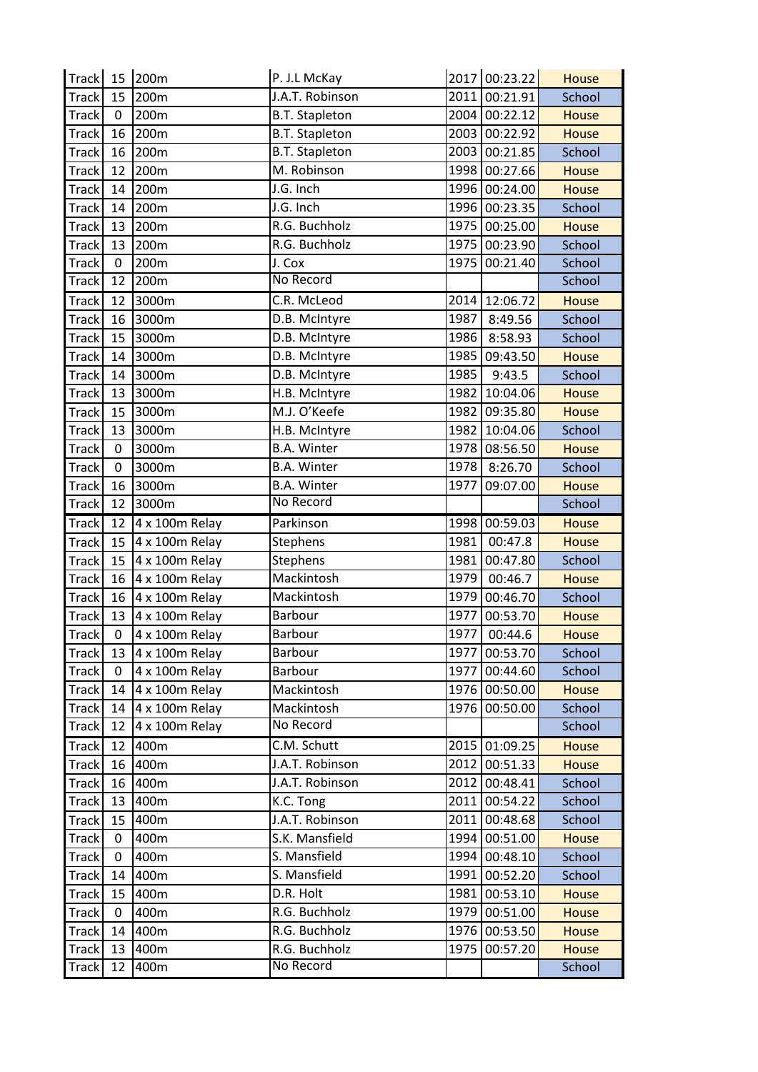| Track 15 200m |                  |                | P. J.L McKay          |      | 2017 00:23.22 | <b>House</b> |
|---------------|------------------|----------------|-----------------------|------|---------------|--------------|
| Track         | 15               | 200m           | J.A.T. Robinson       |      | 2011 00:21.91 | School       |
| <b>Track</b>  | $\mathbf{0}$     | 200m           | <b>B.T. Stapleton</b> |      | 2004 00:22.12 | <b>House</b> |
| Track         | 16               | 200m           | <b>B.T. Stapleton</b> | 2003 | 00:22.92      | <b>House</b> |
| Track         | 16               | 200m           | <b>B.T. Stapleton</b> | 2003 | 00:21.85      | School       |
| Track         | 12               | 200m           | M. Robinson           |      | 1998 00:27.66 | <b>House</b> |
| Track         | 14               | 200m           | J.G. Inch             |      | 1996 00:24.00 | <b>House</b> |
| <b>Track</b>  | 14               | 200m           | J.G. Inch             |      | 1996 00:23.35 | School       |
| Track         | 13               | 200m           | R.G. Buchholz         | 1975 | 00:25.00      | <b>House</b> |
| Track         | 13               | 200m           | R.G. Buchholz         | 1975 | 00:23.90      | School       |
| Track         | $\boldsymbol{0}$ | 200m           | J. Cox                | 1975 | 00:21.40      | School       |
| Track         | 12               | 200m           | No Record             |      |               | School       |
| Track         | 12               | 3000m          | C.R. McLeod           | 2014 | 12:06.72      | <b>House</b> |
| Track         | 16               | 3000m          | D.B. McIntyre         | 1987 | 8:49.56       | School       |
| Track         | 15               | 3000m          | D.B. McIntyre         | 1986 | 8:58.93       | School       |
| Track         | 14               | 3000m          | D.B. McIntyre         | 1985 | 09:43.50      | <b>House</b> |
| <b>Track</b>  | 14               | 3000m          | D.B. McIntyre         | 1985 | 9:43.5        | School       |
| Track         | 13               | 3000m          | H.B. McIntyre         | 1982 | 10:04.06      | <b>House</b> |
| Track         | 15               | 3000m          | M.J. O'Keefe          | 1982 | 09:35.80      | <b>House</b> |
| Track         | 13               | 3000m          | H.B. McIntyre         |      | 1982 10:04.06 | School       |
| Track         | 0                | 3000m          | <b>B.A. Winter</b>    |      | 1978 08:56.50 | <b>House</b> |
| <b>Track</b>  | $\mathbf{0}$     | 3000m          | <b>B.A. Winter</b>    | 1978 | 8:26.70       | School       |
| Track         | 16               | 3000m          | <b>B.A. Winter</b>    | 1977 | 09:07.00      | <b>House</b> |
| Track         | 12               | 3000m          | No Record             |      |               | School       |
| Track         | 12               | 4 x 100m Relay | Parkinson             | 1998 | 00:59.03      | <b>House</b> |
| <b>Track</b>  | 15               | 4 x 100m Relay | Stephens              | 1981 | 00:47.8       | <b>House</b> |
| Track         | 15               | 4 x 100m Relay | <b>Stephens</b>       | 1981 | 00:47.80      | School       |
| Track         | 16               | 4 x 100m Relay | Mackintosh            | 1979 | 00:46.7       | <b>House</b> |
| Track         | 16               | 4 x 100m Relay | Mackintosh            | 1979 | 00:46.70      | School       |
| Track         | 13               | 4 x 100m Relay | Barbour               | 1977 | 00:53.70      | <b>House</b> |
| <b>Track</b>  | $\mathbf 0$      | 4 x 100m Relay | Barbour               | 1977 | 00:44.6       | <b>House</b> |
| Track         | 13               | 4 x 100m Relay | Barbour               | 1977 | 00:53.70      | School       |
| <b>Track</b>  | $\Omega$         | 4 x 100m Relay | Barbour               | 1977 | 00:44.60      | School       |
| <b>Track</b>  | 14               | 4 x 100m Relay | Mackintosh            |      | 1976 00:50.00 | <b>House</b> |
| Track         | 14               | $4x100m$ Relay | Mackintosh            | 1976 | 00:50.00      | School       |
| <b>Track</b>  | 12               | 4 x 100m Relay | No Record             |      |               | School       |
| Track         | 12               | 400m           | C.M. Schutt           |      | 2015 01:09.25 | <b>House</b> |
| <b>Track</b>  | 16               | 400m           | J.A.T. Robinson       | 2012 | 00:51.33      | House        |
| Track         | 16               | 400m           | J.A.T. Robinson       | 2012 | 00:48.41      | School       |
| Track         | 13               | 400m           | K.C. Tong             | 2011 | 00:54.22      | School       |
| <b>Track</b>  | 15               | 400m           | J.A.T. Robinson       | 2011 | 00:48.68      | School       |
| <b>Track</b>  | 0                | 400m           | S.K. Mansfield        |      | 1994 00:51.00 | House        |
| <b>Track</b>  | 0                | 400m           | S. Mansfield          | 1994 | 00:48.10      | School       |
| <b>Track</b>  | 14               | 400m           | S. Mansfield          | 1991 | 00:52.20      | School       |
| <b>Track</b>  | 15               | 400m           | D.R. Holt             | 1981 | 00:53.10      | <b>House</b> |
| <b>Track</b>  | 0                | 400m           | R.G. Buchholz         | 1979 | 00:51.00      | <b>House</b> |
| <b>Track</b>  | 14               | 400m           | R.G. Buchholz         |      | 1976 00:53.50 | <b>House</b> |
| <b>Track</b>  | 13               | 400m           | R.G. Buchholz         | 1975 | 00:57.20      | <b>House</b> |
| <b>Track</b>  | 12               | 400m           | No Record             |      |               | School       |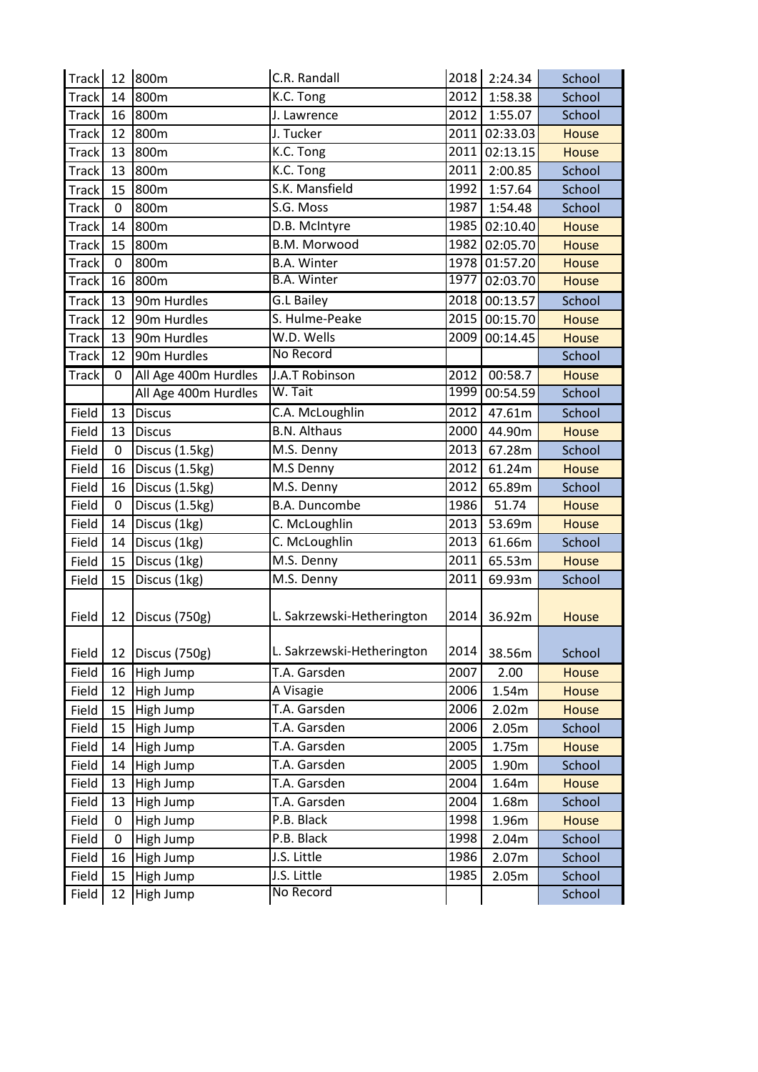| <b>Track</b> | 12             | 800m                 | C.R. Randall               | 2018 | 2:24.34       | School       |
|--------------|----------------|----------------------|----------------------------|------|---------------|--------------|
| Track        | 14             | 800m                 | K.C. Tong                  | 2012 | 1:58.38       | School       |
| Track        | 16             | 800m                 | J. Lawrence                | 2012 | 1:55.07       | School       |
| Track        | 12             | 800m                 | J. Tucker                  | 2011 | 02:33.03      | <b>House</b> |
| Track        | 13             | 800m                 | K.C. Tong                  | 2011 | 02:13.15      | <b>House</b> |
| <b>Track</b> | 13             | 800m                 | K.C. Tong                  | 2011 | 2:00.85       | School       |
| <b>Track</b> | 15             | 800m                 | S.K. Mansfield             | 1992 | 1:57.64       | School       |
| <b>Track</b> | 0              | 800m                 | S.G. Moss                  | 1987 | 1:54.48       | School       |
| Track        | 14             | 800m                 | D.B. McIntyre              | 1985 | 02:10.40      | <b>House</b> |
| <b>Track</b> | 15             | 800m                 | B.M. Morwood               | 1982 | 02:05.70      | <b>House</b> |
| <b>Track</b> | 0              | 800m                 | <b>B.A. Winter</b>         | 1978 | 01:57.20      | <b>House</b> |
| <b>Track</b> | 16             | 800m                 | <b>B.A. Winter</b>         | 1977 | 02:03.70      | House        |
| <b>Track</b> | 13             | 90m Hurdles          | <b>G.L Bailey</b>          | 2018 | 00:13.57      | School       |
| Track        | 12             | 90m Hurdles          | S. Hulme-Peake             |      | 2015 00:15.70 | <b>House</b> |
| <b>Track</b> | 13             | 90m Hurdles          | W.D. Wells                 | 2009 | 00:14.45      | <b>House</b> |
| <b>Track</b> | 12             | 90m Hurdles          | No Record                  |      |               | School       |
| <b>Track</b> | 0              | All Age 400m Hurdles | J.A.T Robinson             | 2012 | 00:58.7       | <b>House</b> |
|              |                | All Age 400m Hurdles | W. Tait                    | 1999 | 00:54.59      | School       |
| Field        | 13             | <b>Discus</b>        | C.A. McLoughlin            | 2012 | 47.61m        | School       |
| Field        | 13             | <b>Discus</b>        | <b>B.N. Althaus</b>        | 2000 | 44.90m        | <b>House</b> |
| Field        | $\overline{0}$ | Discus (1.5kg)       | M.S. Denny                 | 2013 | 67.28m        | School       |
| Field        | 16             | Discus (1.5kg)       | M.S Denny                  | 2012 | 61.24m        | <b>House</b> |
| Field        | 16             | Discus (1.5kg)       | M.S. Denny                 | 2012 | 65.89m        | School       |
| Field        | 0              | Discus (1.5kg)       | <b>B.A. Duncombe</b>       | 1986 | 51.74         | <b>House</b> |
| Field        | 14             | Discus (1kg)         | C. McLoughlin              | 2013 | 53.69m        | <b>House</b> |
| Field        | 14             | Discus (1kg)         | C. McLoughlin              | 2013 | 61.66m        | School       |
| Field        | 15             | Discus (1kg)         | M.S. Denny                 | 2011 | 65.53m        | <b>House</b> |
| Field        | 15             | Discus (1kg)         | M.S. Denny                 | 2011 | 69.93m        | School       |
| Field        | 12             | Discus (750g)        | L. Sakrzewski-Hetherington | 2014 | 36.92m        | <b>House</b> |
| Field        |                | 12   Discus (750g)   | L. Sakrzewski-Hetherington | 2014 | 38.56m        | School       |
| Field        | 16             | High Jump            | T.A. Garsden               | 2007 | 2.00          | <b>House</b> |
| Field        | 12             | High Jump            | A Visagie                  | 2006 | 1.54m         | House        |
| Field        | 15             | High Jump            | T.A. Garsden               | 2006 | 2.02m         | <b>House</b> |
| Field        | 15             | High Jump            | T.A. Garsden               | 2006 | 2.05m         | School       |
| Field        | 14             | High Jump            | T.A. Garsden               | 2005 | 1.75m         | House        |
| Field        | 14             | High Jump            | T.A. Garsden               | 2005 | 1.90m         | School       |
| Field        | 13             | High Jump            | T.A. Garsden               | 2004 | 1.64m         | <b>House</b> |
| Field        | 13             | High Jump            | T.A. Garsden               | 2004 | 1.68m         | School       |
| Field        | 0              | High Jump            | P.B. Black                 | 1998 | 1.96m         | <b>House</b> |
| Field        | $\mathbf 0$    | High Jump            | P.B. Black                 | 1998 | 2.04m         | School       |
| Field        | 16             | High Jump            | J.S. Little                | 1986 | 2.07m         | School       |
| Field        | 15             | High Jump            | J.S. Little                | 1985 | 2.05m         | School       |
| Field        | 12             | High Jump            | No Record                  |      |               | School       |